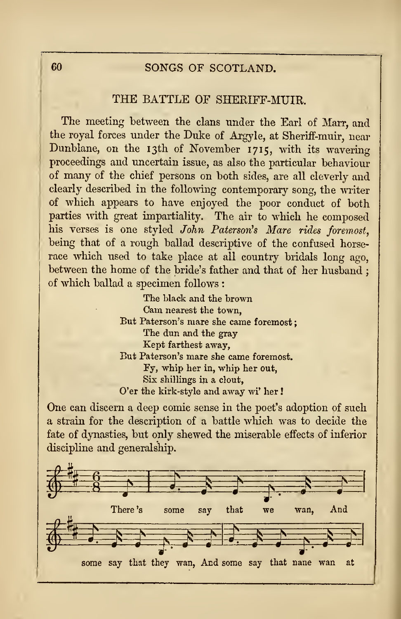# <sup>60</sup> SONGS OF SCOTLAND.

## THE BATTLE OF SHERIFF-MUIR.

The meeting between the clans under the Earl of Marr, and the royal forces under the Duke of Argyle, at Sheriff-muir, near Dunblane, on the 13th of November 1715, with its wavering proceedings and uncertain issue, as also the particular behaviour of many of the chief persons on both sides, are all cleverly and clearly described in the following contemporary song, the writer of which appears to have enjoyed the poor conduct of both parties with great impartiality. The air to which he composed his verses is one styled John Paterson's Mare rides foremost, being that of a rough ballad descriptive of the confused horse race which used to take place at all country bridals long ago, between the home of the bride's father and that of her husband ; of which ballad a specimen follows :

> The black and the brown Cam nearest the town, But Paterson's mare she came foremost The dun and the gray Kept farthest away, But Paterson's mare she came foremost. ly, whip her in, whip her out, Six shillings in a clout, O'er the kirk-style and away wi' her !

One can discern a deep comic sense in the poet's adoption of such a strain for the description of a battle which was to decide the fate of dynasties, but only shewed the miserable effects of inferior discipline and generalship.

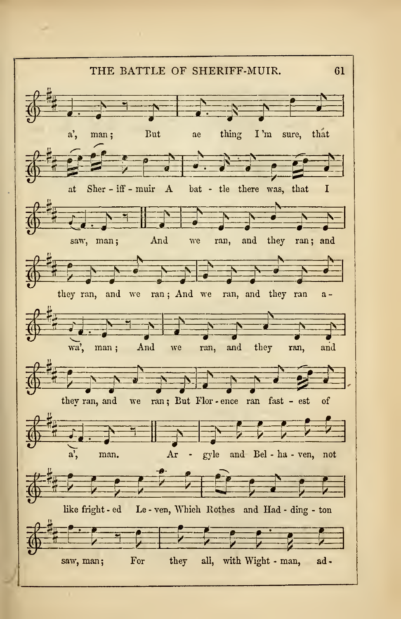THE BATTLE OF SHERIFF-MUIR. 61 <sup>E</sup>J-^^<sup>p</sup> E?EE£ a', man; But ae thing I 'm sure, that  $i \in \{1, \ldots, n\}$ a', man; But ae thing I'm sure, that  $\begin{bmatrix} 1 & 1 & 1 \\ 1 & 1 & 1 \\ 1 & 1 & 1 \end{bmatrix}$  and the saw, man; And we ran, and they ran; and And we ran, and they ran; and  $\overline{r}$ Y: ^m SS^ £ they ran, and we ran; And we ran, and they ran athey ran, and we ran; And we ran, and they ran  $a -$ <br>  $\begin{pmatrix} a & b \\ c & d \end{pmatrix}$ <br>
wa, man; And we ran, and they ran, and wa', man; And we ran, and they ran, and  $\frac{1}{2}$ they ran, and we ran; But Flor - ence ran fast - est of P^ T: :p=p: \* Ar - gyle and Bel - ha - ven, not a, man.  $Ar - gyle$  and Bel - ha - ven, not  $-1$ like fright -ed Le - ven, Which Bothes and Had - ding - ton  $\begin{picture}(180,10) \put(0,0){\vector(1,0){100}} \put(10,0){\vector(1,0){100}} \put(10,0){\vector(1,0){100}} \put(10,0){\vector(1,0){100}} \put(10,0){\vector(1,0){100}} \put(10,0){\vector(1,0){100}} \put(10,0){\vector(1,0){100}} \put(10,0){\vector(1,0){100}} \put(10,0){\vector(1,0){100}} \put(10,0){\vector(1,0){100}} \put(10,0){\vector(1,0){100}}$ saw, man; For they all, with Wight - man, ad-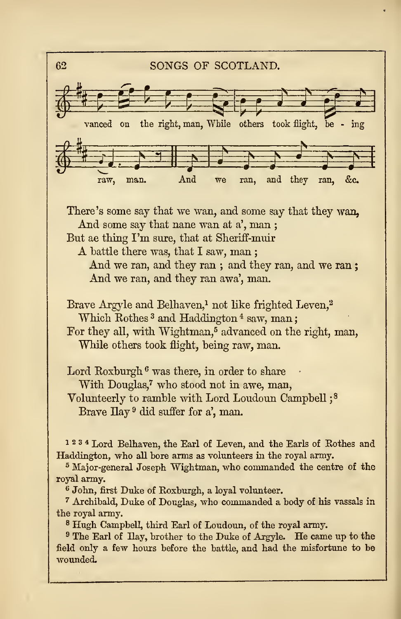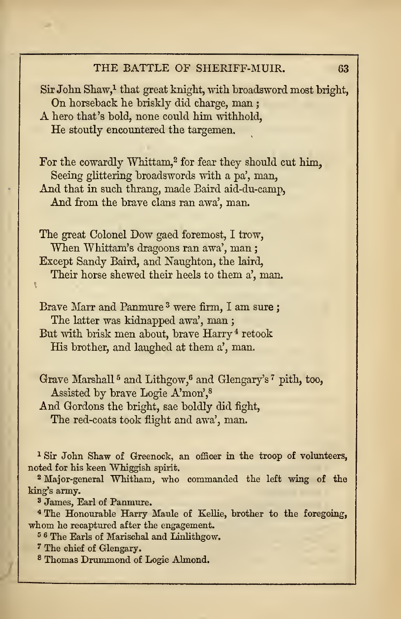#### THE BATTLE OF SHERIFF-MUIR. 63

 $Sir John Shaw<sup>1</sup> that great knight, with broadsworth most bright, On horseback he briskly did charge, man :$ A hero that's bold, none could him withhold, He stoutly encountered the targemen.

For the cowardly Whittam.<sup>2</sup> for fear they should cut him. Seeing glittering broadswords with a pa', man, And that in such thrang, made Baird aid-du-camp, And from the brave clans ran awa', man.

The great Colonel Dow gaed foremost, <sup>I</sup> trow, When Whittam's dragoons ran awa', man; Except Sandy Baird, and Naughton, the laird, Their horse shewed their heels to them a', man.

Brave Marr and Panmure<sup>3</sup> were firm, I am sure; The latter was kidnapped awa', man ; But with brisk men about, brave Harry <sup>4</sup> retook His brother, and laughed at them a', man.

Grave Marshall <sup>5</sup> and Lithgow,<sup>6</sup> and Glengary's <sup>7</sup> pith, too, Assisted by brave Logie A'mon',<sup>8</sup> And Gordons the bright, sae boldly did fight, The red-coats took flight and awa', man.

<sup>1</sup> Sir John Shaw of Greenock, an officer in the troop of volunteers, noted for his keen Whiggish spirit.

<sup>2</sup> Major-general Whitham, who commanded the left wing of the king's army.

<sup>3</sup> James, Earl of Panmure.

<sup>4</sup> The Honourable Harry Maule of Kellie, brother to the foregoing, whom he recaptured after the engagement.

<sup>6</sup> <sup>6</sup> The Earls of Marischal and Linlithgow.

<sup>7</sup> The chief of Glengary.

<sup>8</sup> Thomas Drummond of Logie Almond.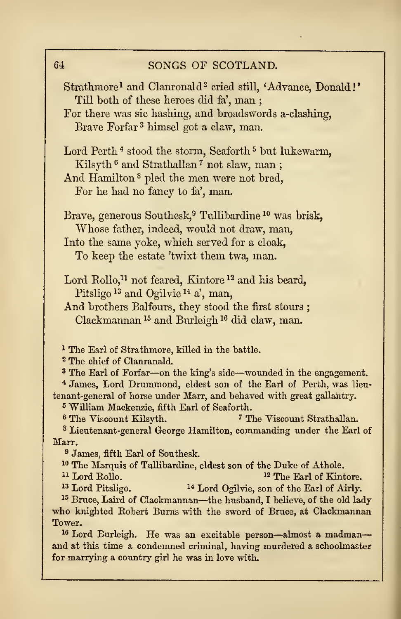| Strathmore <sup>1</sup> and Clanronald <sup>2</sup> cried still, 'Advance, Donald!'                                                                    |
|--------------------------------------------------------------------------------------------------------------------------------------------------------|
| Till both of these heroes did fa', man;                                                                                                                |
| For there was sic hashing, and broadswords a-clashing,                                                                                                 |
| Brave Forfar <sup>3</sup> himsel got a claw, man.                                                                                                      |
|                                                                                                                                                        |
| Lord Perth <sup>4</sup> stood the storm, Seaforth <sup>5</sup> but lukewarm,                                                                           |
| Kilsyth <sup>6</sup> and Strathallan <sup>7</sup> not slaw, man;                                                                                       |
|                                                                                                                                                        |
| And Hamilton <sup>8</sup> pled the men were not bred,                                                                                                  |
| For he had no fancy to fa', man.                                                                                                                       |
|                                                                                                                                                        |
| Brave, generous Southesk, <sup>9</sup> Tullibardine <sup>10</sup> was brisk,                                                                           |
| Whose father, indeed, would not draw, man,                                                                                                             |
| Into the same yoke, which served for a cloak,                                                                                                          |
| To keep the estate 'twixt them twa, man.                                                                                                               |
|                                                                                                                                                        |
| Lord Rollo, <sup>11</sup> not feared, Kintore <sup>12</sup> and his beard,                                                                             |
| Pitsligo <sup>13</sup> and Ogilvie <sup>14</sup> a', man,                                                                                              |
| And brothers Balfours, they stood the first stours;                                                                                                    |
| Clackmannan <sup>15</sup> and Burleigh <sup>16</sup> did claw, man.                                                                                    |
|                                                                                                                                                        |
|                                                                                                                                                        |
| <sup>1</sup> The Earl of Strathmore, killed in the battle.                                                                                             |
| <sup>2</sup> The chief of Clanranald.                                                                                                                  |
| <sup>3</sup> The Earl of Forfar-on the king's side-wounded in the engagement.                                                                          |
| <sup>4</sup> James, Lord Drummond, eldest son of the Earl of Perth, was lieu-<br>tenant-general of horse under Marr, and behaved with great gallantry. |
| <sup>5</sup> William Mackenzie, fifth Earl of Seaforth.                                                                                                |
| <sup>6</sup> The Viscount Kilsyth.<br><sup>7</sup> The Viscount Strathallan.                                                                           |
| <sup>8</sup> Lieutenant-general George Hamilton, commanding under the Earl of                                                                          |
| Marr.                                                                                                                                                  |
| <sup>9</sup> James, fifth Earl of Southesk.                                                                                                            |
| <sup>10</sup> The Marquis of Tullibardine, eldest son of the Duke of Athole.                                                                           |
| <sup>11</sup> Lord Rollo.<br><sup>12</sup> The Earl of Kintore.                                                                                        |
| <sup>13</sup> Lord Pitsligo.<br><sup>14</sup> Lord Ogilvie, son of the Earl of Airly.                                                                  |
| <sup>15</sup> Bruce, Laird of Clackmannan—the husband, I believe, of the old lady                                                                      |
| who knighted Robert Burns with the sword of Bruce, at Clackmannan                                                                                      |
| Tower.                                                                                                                                                 |
| <sup>16</sup> Lord Burleigh. He was an excitable person—almost a madman—                                                                               |
| and at this time a condemned criminal, having murdered a schoolmaster                                                                                  |
| for marrying a country girl he was in love with.                                                                                                       |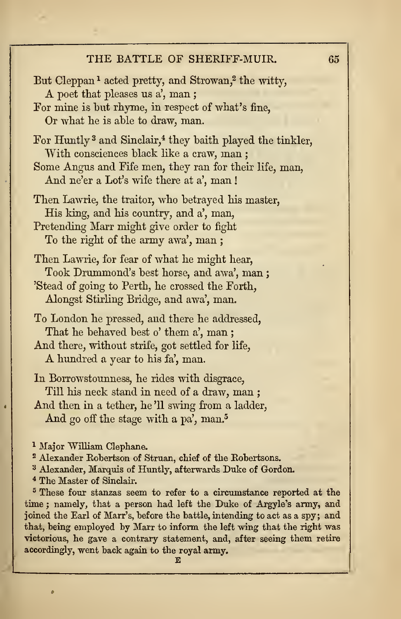# THE BATTLE OF SHERIFF-MUIR. 65

| But Cleppan <sup>1</sup> acted pretty, and Strowan, <sup>2</sup> the witty,<br>A poet that pleases us a', man;<br>For mine is but rhyme, in respect of what's fine,<br>Or what he is able to draw, man.                                                                                                                                                                                                                                                                 |
|-------------------------------------------------------------------------------------------------------------------------------------------------------------------------------------------------------------------------------------------------------------------------------------------------------------------------------------------------------------------------------------------------------------------------------------------------------------------------|
| For Huntly <sup>3</sup> and Sinclair, <sup>4</sup> they baith played the tinkler,<br>With consciences black like a craw, man;<br>Some Angus and Fife men, they ran for their life, man,<br>And ne'er a Lot's wife there at a', man!                                                                                                                                                                                                                                     |
| Then Lawrie, the traitor, who betrayed his master,<br>His king, and his country, and a', man,<br>Pretending Marr might give order to fight<br>To the right of the army awa', man;                                                                                                                                                                                                                                                                                       |
| Then Lawrie, for fear of what he might hear,<br>Took Drummond's best horse, and awa', man;<br>'Stead of going to Perth, he crossed the Forth,<br>Alongst Stirling Bridge, and awa', man.                                                                                                                                                                                                                                                                                |
| To London he pressed, and there he addressed,<br>That he behaved best o' them a', man;<br>And there, without strife, got settled for life,<br>A hundred a year to his fa', man.                                                                                                                                                                                                                                                                                         |
| In Borrowstounness, he rides with disgrace,<br>Till his neck stand in need of a draw, man;<br>And then in a tether, he'll swing from a ladder,<br>And go off the stage with a pa', man. <sup>5</sup>                                                                                                                                                                                                                                                                    |
| <sup>1</sup> Major William Clephane.<br><sup>2</sup> Alexander Robertson of Struan, chief of the Robertsons.<br><sup>3</sup> Alexander, Marquis of Huntly, afterwards Duke of Gordon.<br><sup>4</sup> The Master of Sinclair.<br><sup>5</sup> These four stanzas seem to refer to a circumstance reported at the<br>time; namely, that a person had left the Duke of Argyle's army, and<br>joined the Earl of Marr's, before the battle, intending to act as a spy; and |

joined the Earl of Marr's, before the battle, intending to act as a spy; and that, being employed by Marr to inform the left wing that the right was victorious, he gave a contrary statement, and, after seeing them retire accordingly, went back again to the royal army.